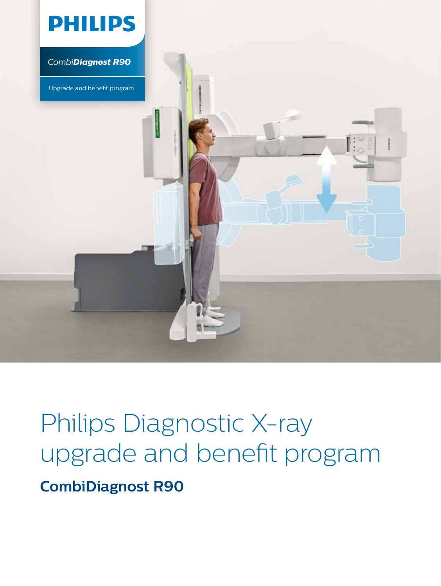



# Philips Diagnostic X-ray upgrade and benefit program

**CombiDiagnost R90**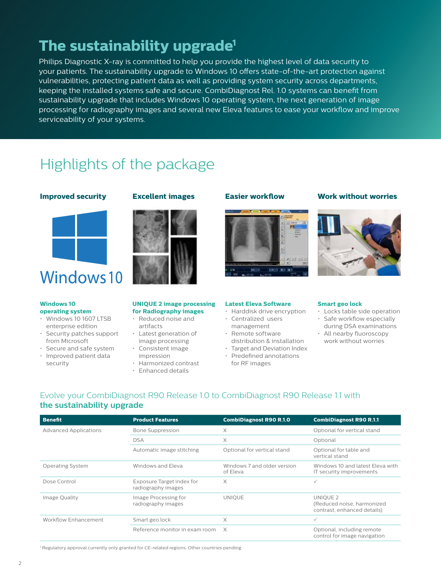## **The sustainability upgrade1**

Philips Diagnostic X-ray is committed to help you provide the highest level of data security to your patients. The sustainability upgrade to Windows 10 offers state-of-the-art protection against vulnerabilities, protecting patient data as well as providing system security across departments, keeping the installed systems safe and secure. CombiDiagnost Rel. 1.0 systems can benefit from sustainability upgrade that includes Windows 10 operating system, the next generation of image processing for radiography images and several new Eleva features to ease your workflow and improve serviceability of your systems.

## Highlights of the package



#### **Windows 10 operating system**

- Windows 10 1607 LTSB enterprise edition
- Security patches support from Microsoft
- Secure and safe system • Improved patient data security
- 



### **UNIQUE 2 image processing for Radiography images**

- Reduced noise and artifacts
- Latest generation of image processing
- Consistent image impression
- Harmonized contrast
- Enhanced details



**Latest Eleva Software** • Harddisk drive encryption • Centralized users management • Remote software

distribution & installation • Target and Deviation Index • Predefined annotations for RF images

### **Improved security Excellent images Easier workflow Work without worries**



#### **Smart geo lock**

- Locks table side operation
- Safe workflow especially during DSA examinations • All nearby fluoroscopy
- work without worries

## Evolve your CombiDiagnost R90 Release 1.0 to CombiDiagnost R90 Release 1.1 with **the sustainability upgrade**

| <b>Benefit</b>               | <b>Product Features</b>                         | <b>CombiDiagnost R90 R.1.0</b>          | <b>CombiDiagnost R90 R.1.1</b>                                                   |
|------------------------------|-------------------------------------------------|-----------------------------------------|----------------------------------------------------------------------------------|
| <b>Advanced Applications</b> | <b>Bone Suppression</b>                         | X                                       | Optional for vertical stand                                                      |
|                              | <b>DSA</b>                                      | X                                       | Optional                                                                         |
|                              | Automatic image stitching                       | Optional for vertical stand             | Optional for table and<br>vertical stand                                         |
| <b>Operating System</b>      | Windows and Eleva                               | Windows 7 and older version<br>of Eleva | Windows 10 and latest Eleva with<br>IT security improvements                     |
| Dose Control                 | Exposure Target index for<br>radiography images | X                                       | $\checkmark$                                                                     |
| Image Quality                | Image Processing for<br>radiography images      | <b>UNIOUE</b>                           | UNIOUE <sub>2</sub><br>(Reduced noise, harmonized<br>contrast, enhanced details) |
| Workflow Enhancement         | Smart geo lock                                  | X                                       | $\checkmark$                                                                     |
|                              | Reference monitor in exam room                  | X                                       | Optional, including remote<br>control for image navigation                       |

<sup>1</sup> Regulatory approval currently only granted for CE-related regions. Other countries pending.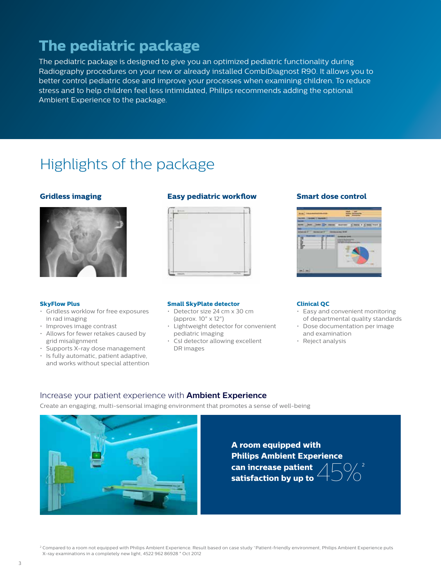## **The pediatric package**

The pediatric package is designed to give you an optimized pediatric functionality during Radiography procedures on your new or already installed CombiDiagnost R90. It allows you to better control pediatric dose and improve your processes when examining children. To reduce stress and to help children feel less intimidated, Philips recommends adding the optional Ambient Experience to the package.

## Highlights of the package



#### **SkyFlow Plus**

- Gridless worklow for free exposures in rad imaging
- Improves image contrast
- Allows for fewer retakes caused by grid misalignment
- Supports X-ray dose management
- Is fully automatic, patient adaptive, and works without special attention

### **Gridless imaging Easy pediatric workflow Smart dose control**



#### **Small SkyPlate detector**

- Detector size 24 cm x 30 cm (approx. 10" x 12")
- Lightweight detector for convenient pediatric imaging
- CsI detector allowing excellent DR images



### **Clinical QC**

- Easy and convenient monitoring of departmental quality standards
- Dose documentation per image and examination
- Reject analysis

### Increase your patient experience with **Ambient Experience**

Create an engaging, multi-sensorial imaging environment that promotes a sense of well-being



**Philips Ambient Experience** 

<sup>2</sup> Compared to a room not equipped with Philips Ambient Experience. Result based on case study "Patient-friendly environment. Philips Ambient Experience puts X-ray examinations in a completely new light, 4522 962 86928 \* Oct 2012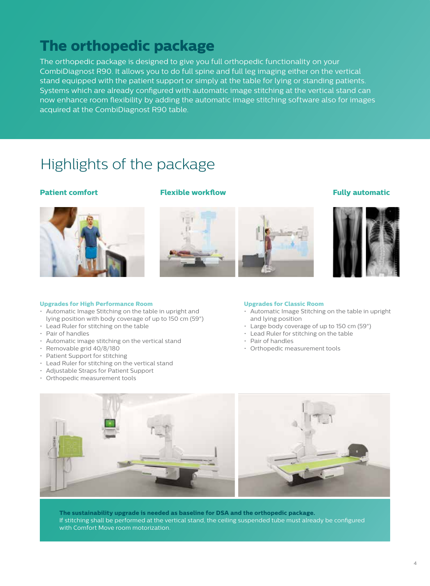## **The orthopedic package**

The orthopedic package is designed to give you full orthopedic functionality on your CombiDiagnost R90. It allows you to do full spine and full leg imaging either on the vertical stand equipped with the patient support or simply at the table for lying or standing patients. Systems which are already configured with automatic image stitching at the vertical stand can now enhance room flexibility by adding the automatic image stitching software also for images acquired at the CombiDiagnost R90 table.

## Highlights of the package



### **Patient comfort Flexible workflow Fully automatic**



#### **Upgrades for High Performance Room**

- Automatic Image Stitching on the table in upright and lying position with body coverage of up to 150 cm (59") • Lead Ruler for stitching on the table
- 
- Pair of handles
- Automatic image stitching on the vertical stand
- Removable grid 40/8/180
- Patient Support for stitching
- Lead Ruler for stitching on the vertical stand
- Adjustable Straps for Patient Support
- Orthopedic measurement tools

### **Upgrades for Classic Room**

- Automatic Image Stitching on the table in upright and lying position
- Large body coverage of up to 150 cm (59")
- Lead Ruler for stitching on the table
- Pair of handles
- Orthopedic measurement tools



**The sustainability upgrade is needed as baseline for DSA and the orthopedic package.** If stitching shall be performed at the vertical stand, the ceiling suspended tube must already be configured with Comfort Move room motorization.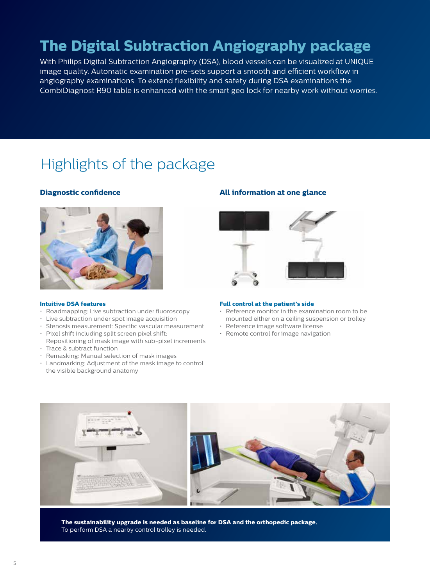## **The Digital Subtraction Angiography package**

With Philips Digital Subtraction Angiography (DSA), blood vessels can be visualized at UNIQUE image quality. Automatic examination pre-sets support a smooth and efficient workflow in angiography examinations. To extend flexibility and safety during DSA examinations the CombiDiagnost R90 table is enhanced with the smart geo lock for nearby work without worries.

## Highlights of the package



### **Intuitive DSA features**

- Roadmapping: Live subtraction under fluoroscopy
- Live subtraction under spot image acquisition
- Stenosis measurement: Specific vascular measurement
- Pixel shift including split screen pixel shift: Repositioning of mask image with sub-pixel increments
- Trace & subtract function
- Remasking: Manual selection of mask images
- Landmarking: Adjustment of the mask image to control the visible background anatomy

### **Diagnostic confidence All information at one glance**



### **Full control at the patient's side**

- Reference monitor in the examination room to be mounted either on a ceiling suspension or trolley • Reference image software license
- Remote control for image navigation



**The sustainability upgrade is needed as baseline for DSA and the orthopedic package.** To perform DSA a nearby control trolley is needed.